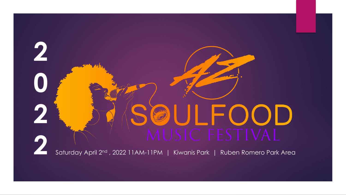# **2** SOULFOOD<br>2022 11AM-11PM | Kiwanis Park | Ruben Romero Park Area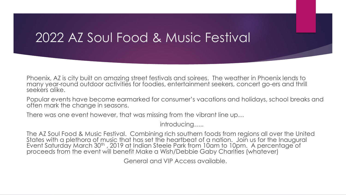Phoenix, AZ is city built on amazing street festivals and soirees. The weather in Phoenix lends to many year-round outdoor activities for foodies, entertainment seekers, concert go-ers and thrill seekers alike.

Popular events have become earmarked for consumer's vacations and holidays, school breaks and often mark the change in seasons.

There was one event however, that was missing from the vibrant line up…

introducing…..

The AZ Soul Food & Music Festival. Combining rich southern foods from regions all over the United States with a plethora of music that has set the heartbeat of a nation. Join us for the Inaugural Event Saturday March 30<sup>th</sup>, 2019 at Indian Steele Park from 10am to 10pm. A percentage of proceeds from the event will benefit Make a Wish/Debbie Gaby Charities (whatever)

General and VIP Access available.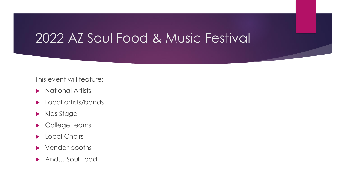#### This event will feature:

- **National Artists**
- **Local artists/bands**
- Kids Stage
- College teams
- **Local Choirs**
- ▶ Vendor booths
- ▶ And....Soul Food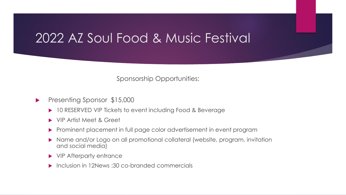Sponsorship Opportunities:

- Presenting Sponsor \$15,000
	- ▶ 10 RESERVED VIP Tickets to event including Food & Beverage
	- ▶ VIP Artist Meet & Greet
	- Prominent placement in full page color advertisement in event program
	- Name and/or Logo on all promotional collateral (website, program, invitation and social media)
	- ▶ VIP Afterparty entrance
	- Inclusion in 12News :30 co-branded commercials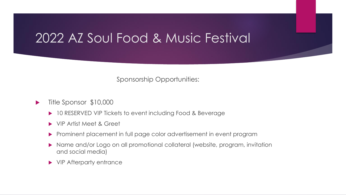Sponsorship Opportunities:

- Title Sponsor \$10,000
	- ▶ 10 RESERVED VIP Tickets to event including Food & Beverage
	- VIP Artist Meet & Greet
	- Prominent placement in full page color advertisement in event program
	- ▶ Name and/or Logo on all promotional collateral (website, program, invitation and social media)
	- ▶ VIP Afterparty entrance